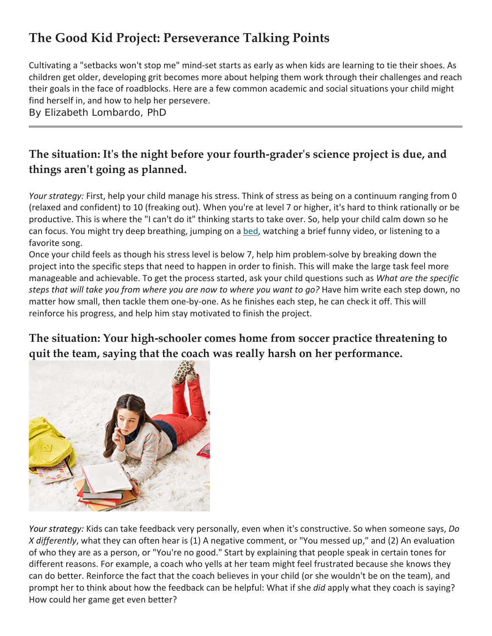# **The Good Kid Project: Perseverance Talking Points**

 Cultivating a "setbacks won't stop me" mind-set starts as early as when kids are learning to tie their shoes. As their goals in the face of roadblocks. Here are a few common academic and social situations your child might children get older, developing grit becomes more about helping them work through their challenges and reach find herself in, and how to help her persevere.

By Elizabeth Lombardo, PhD

#### **The situation: It's the night before your fourth-grader's science project is due, and things aren't going as planned.**

 productive. This is where the "I can't do it" thinking starts to take over. So, help your child calm down so he can focus. You might try deep breathing, jumping on [a bed,](http://www.bhg.com/shop/bedroom/beds-c2824.html) watching a brief funny video, or listening to a *Your strategy:* First, help your child manage his stress. Think of stress as being on a continuum ranging from 0 (relaxed and confident) to 10 (freaking out). When you're at level 7 or higher, it's hard to think rationally or be favorite song.

 Once your child feels as though his stress level is below 7, help him problem-solve by breaking down the project into the specific steps that need to happen in order to finish. This will make the large task feel more  *steps that will take you from where you are now to where you want to go?* Have him write each step down, no matter how small, then tackle them one-by-one. As he finishes each step, he can check it off. This will manageable and achievable. To get the process started, ask your child questions such as *What are the specific*  reinforce his progress, and help him stay motivated to finish the project.

#### **quit the team, saying that the coach was really harsh on her performance. The situation: Your high-schooler comes home from soccer practice threatening to**



 *Your strategy:* Kids can take feedback very personally, even when it's constructive. So when someone says, *Do*  different reasons. For example, a coach who yells at her team might feel frustrated because she knows they How could her game get even better? *X differently*, what they can often hear is (1) A negative comment, or "You messed up," and (2) An evaluation of who they are as a person, or "You're no good." Start by explaining that people speak in certain tones for can do better. Reinforce the fact that the coach believes in your child (or she wouldn't be on the team), and prompt her to think about how the feedback can be helpful: What if she *did* apply what they coach is saying?